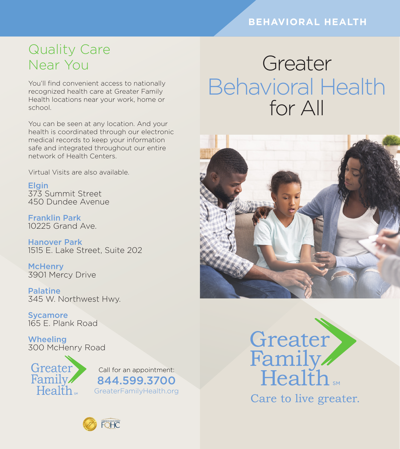#### **BEHAVIORAL HEALTH**

## Quality Care Near You

You'll find convenient access to nationally recognized health care at Greater Family Health locations near your work, home or school.

You can be seen at any location. And your health is coordinated through our electronic medical records to keep your information safe and integrated throughout our entire network of Health Centers.

Virtual Visits are also available.

**Elgin** 373 Summit Street 450 Dundee Avenue

Franklin Park 10225 Grand Ave.

Hanover Park 1515 E. Lake Street, Suite 202

**McHenry** 3901 Mercy Drive

Palatine 345 W. Northwest Hwy.

**Sycamore** 165 E. Plank Road

**Wheeling** 300 McHenry Road





# Greater Behavioral Health for All

Greater





Care to live greater.